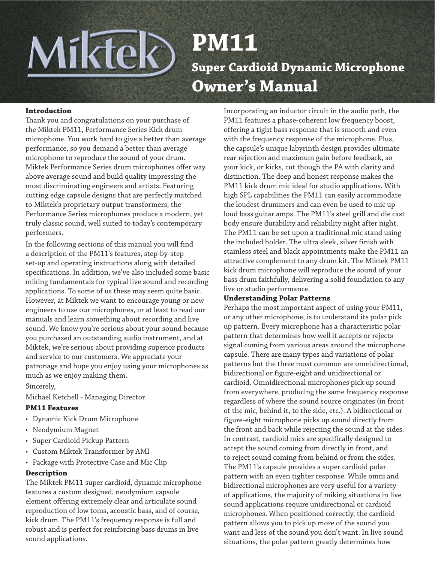# Miktek **PM11 Super Cardioid Dynamic Microphone Owner's Manual**

#### **Introduction**

Thank you and congratulations on your purchase of the Miktek PM11, Performance Series Kick drum microphone. You work hard to give a better than average performance, so you demand a better than average microphone to reproduce the sound of your drum. Miktek Performance Series drum microphones offer way above average sound and build quality impressing the most discriminating engineers and artists. Featuring cutting edge capsule designs that are perfectly matched to Miktek's proprietary output transformers; the Performance Series microphones produce a modern, yet truly classic sound, well suited to today's contemporary performers.

In the following sections of this manual you will find a description of the PM11's features, step-by-step set-up and operating instructions along with detailed specifications. In addition, we've also included some basic miking fundamentals for typical live sound and recording applications. To some of us these may seem quite basic. However, at Miktek we want to encourage young or new engineers to use our microphones, or at least to read our manuals and learn something about recording and live sound. We know you're serious about your sound because you purchased an outstanding audio instrument, and at Miktek, we're serious about providing superior products and service to our customers. We appreciate your patronage and hope you enjoy using your microphones as much as we enjoy making them.

Sincerely,

Michael Ketchell - Managing Director

# **PM11 Features**

- • Dynamic Kick Drum Microphone
- Neodymium Magnet
- Super Cardioid Pickup Pattern
- Custom Miktek Transformer by AMI
- Package with Protective Case and Mic Clip

# **Description**

The Miktek PM11 super cardioid, dynamic microphone features a custom designed, neodymium capsule element offering extremely clear and articulate sound reproduction of low toms, acoustic bass, and of course, kick drum. The PM11's frequency response is full and robust and is perfect for reinforcing bass drums in live sound applications.

Incorporating an inductor circuit in the audio path, the PM11 features a phase-coherent low frequency boost, offering a tight bass response that is smooth and even with the frequency response of the microphone. Plus, the capsule's unique labyrinth design provides ultimate rear rejection and maximum gain before feedback, so your kick, or kicks, cut though the PA with clarity and distinction. The deep and honest response makes the PM11 kick drum mic ideal for studio applications. With high SPL capabilities the PM11 can easily accommodate the loudest drummers and can even be used to mic up loud bass guitar amps. The PM11's steel grill and die cast body ensure durability and reliability night after night. The PM11 can be set upon a traditional mic stand using the included holder. The ultra sleek, silver finish with stainless steel and black appointments make the PM11 an attractive complement to any drum kit. The Miktek PM11 kick drum microphone will reproduce the sound of your bass drum faithfully, delivering a solid foundation to any live or studio performance.

# **Understanding Polar Patterns**

Perhaps the most important aspect of using your PM11, or any other microphone, is to understand its polar pick up pattern. Every microphone has a characteristic polar pattern that determines how well it accepts or rejects signal coming from various areas around the microphone capsule. There are many types and variations of polar patterns but the three most common are omnidirectional, bidirectional or figure-eight and unidirectional or cardioid. Omnidirectional microphones pick up sound from everywhere, producing the same frequency response regardless of where the sound source originates (in front of the mic, behind it, to the side, etc.). A bidirectional or figure-eight microphone picks up sound directly from the front and back while rejecting the sound at the sides. In contrast, cardioid mics are specifically designed to accept the sound coming from directly in front, and to reject sound coming from behind or from the sides. The PM11's capsule provides a super cardioid polar pattern with an even tighter response. While omni and bidirectional microphones are very useful for a variety of applications, the majority of miking situations in live sound applications require unidirectional or cardioid microphones. When positioned correctly, the cardioid pattern allows you to pick up more of the sound you want and less of the sound you don't want. In live sound situations, the polar pattern greatly determines how